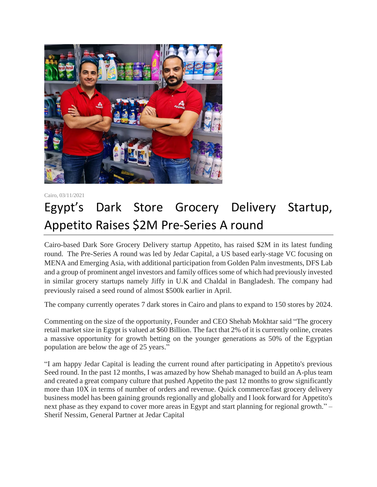

Cairo, 03/11/2021

## Egypt's Dark Store Grocery Delivery Startup, Appetito Raises \$2M Pre-Series A round

Cairo-based Dark Sore Grocery Delivery startup Appetito, has raised \$2M in its latest funding round. The Pre-Series A round was led by Jedar Capital, a US based early-stage VC focusing on MENA and Emerging Asia, with additional participation from Golden Palm investments, DFS Lab and a group of prominent angel investors and family offices some of which had previously invested in similar grocery startups namely Jiffy in U.K and Chaldal in Bangladesh. The company had previously raised a seed round of almost \$500k earlier in April.

The company currently operates 7 dark stores in Cairo and plans to expand to 150 stores by 2024.

Commenting on the size of the opportunity, Founder and CEO Shehab Mokhtar said "The grocery retail market size in Egypt is valued at \$60 Billion. The fact that 2% of it is currently online, creates a massive opportunity for growth betting on the younger generations as 50% of the Egyptian population are below the age of 25 years."

"I am happy Jedar Capital is leading the current round after participating in Appetito's previous Seed round. In the past 12 months, I was amazed by how Shehab managed to build an A-plus team and created a great company culture that pushed Appetito the past 12 months to grow significantly more than 10X in terms of number of orders and revenue. Quick commerce/fast grocery delivery business model has been gaining grounds regionally and globally and I look forward for Appetito's next phase as they expand to cover more areas in Egypt and start planning for regional growth." – Sherif Nessim, General Partner at Jedar Capital